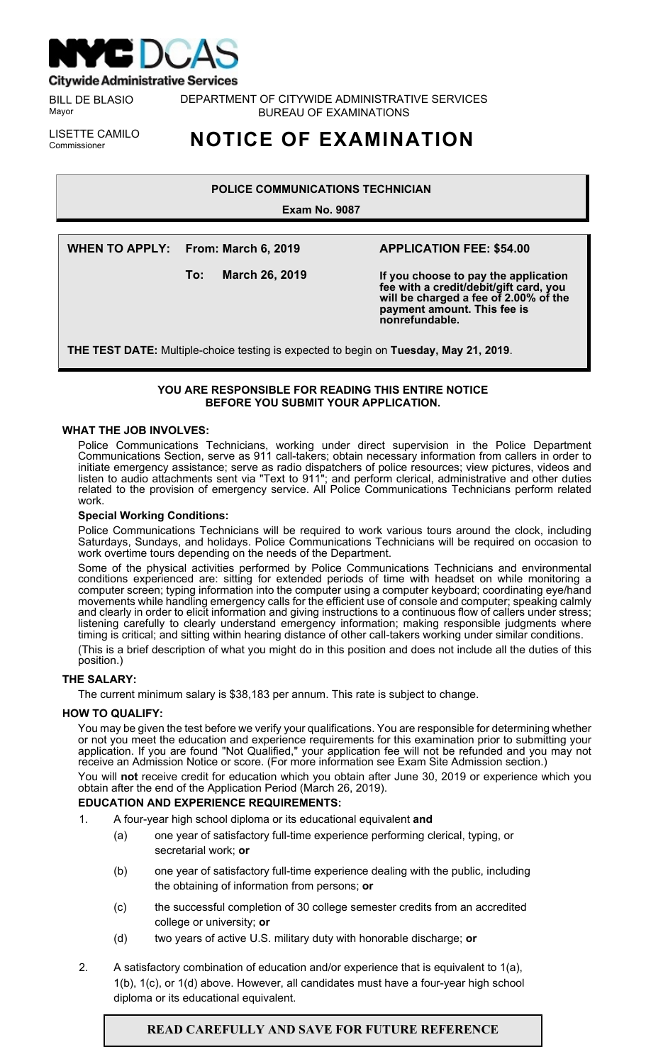

**Citywide Administrative Services** 

BILL DE BLASIO Mayor

DEPARTMENT OF CITYWIDE ADMINISTRATIVE SERVICES BUREAU OF EXAMINATIONS

LISETTE CAMILO<br>Commissioner

# Commissioner **NOTICE OF EXAMINATION**

# **POLICE COMMUNICATIONS TECHNICIAN**

**Exam No. 9087**

**WHEN TO APPLY: From: March 6, 2019**

**To: March 26, 2019**

# **APPLICATION FEE: \$54.00**

**If you choose to pay the application fee with a credit/debit/gift card, you will be charged a fee of 2.00% of the payment amount. This fee is nonrefundable.**

**THE TEST DATE:** Multiple-choice testing is expected to begin on **Tuesday, May 21, 2019**.

# **YOU ARE RESPONSIBLE FOR READING THIS ENTIRE NOTICE BEFORE YOU SUBMIT YOUR APPLICATION.**

## **WHAT THE JOB INVOLVES:**

Police Communications Technicians, working under direct supervision in the Police Department Communications Section, serve as 911 call-takers; obtain necessary information from callers in order to initiate emergency assistance; serve as radio dispatchers of police resources; view pictures, videos and listen to audio attachments sent via "Text to 911"; and perform clerical, administrative and other duties related to the provision of emergency service. All Police Communications Technicians perform related work.

## **Special Working Conditions:**

Police Communications Technicians will be required to work various tours around the clock, including Saturdays, Sundays, and holidays. Police Communications Technicians will be required on occasion to work overtime tours depending on the needs of the Department.

Some of the physical activities performed by Police Communications Technicians and environmental conditions experienced are: sitting for extended periods of time with headset on while monitoring a computer screen; typing information into the computer using a computer keyboard; coordinating eye/hand movements while handling emergency calls for the efficient use of console and computer; speaking calmly and clearly in order to elicit information and giving instructions to a continuous flow of callers under stress; listening carefully to clearly understand emergency information; making responsible judgments where timing is critical; and sitting within hearing distance of other call-takers working under similar conditions. (This is a brief description of what you might do in this position and does not include all the duties of this position.)

# **THE SALARY:**

The current minimum salary is \$38,183 per annum. This rate is subject to change.

# **HOW TO QUALIFY:**

You may be given the test before we verify your qualifications. You are responsible for determining whether or not you meet the education and experience requirements for this examination prior to submitting your application. If you are found "Not Qualified," your application fee will not be refunded and you may not receive an Admission Notice or score. (For more information see Exam Site Admission section.)

You will **not** receive credit for education which you obtain after June 30, 2019 or experience which you obtain after the end of the Application Period (March 26, 2019).

## **EDUCATION AND EXPERIENCE REQUIREMENTS:**

- 1. A four-year high school diploma or its educational equivalent **and**
	- (a) one year of satisfactory full-time experience performing clerical, typing, or secretarial work; **or**
	- (b) one year of satisfactory full-time experience dealing with the public, including the obtaining of information from persons; **or**
	- (c) the successful completion of 30 college semester credits from an accredited college or university; **or**
	- (d) two years of active U.S. military duty with honorable discharge; **or**
- 2. A satisfactory combination of education and/or experience that is equivalent to  $1(a)$ , 1(b), 1(c), or 1(d) above. However, all candidates must have a four-year high school diploma or its educational equivalent.

# **READ CAREFULLY AND SAVE FOR FUTURE REFERENCE**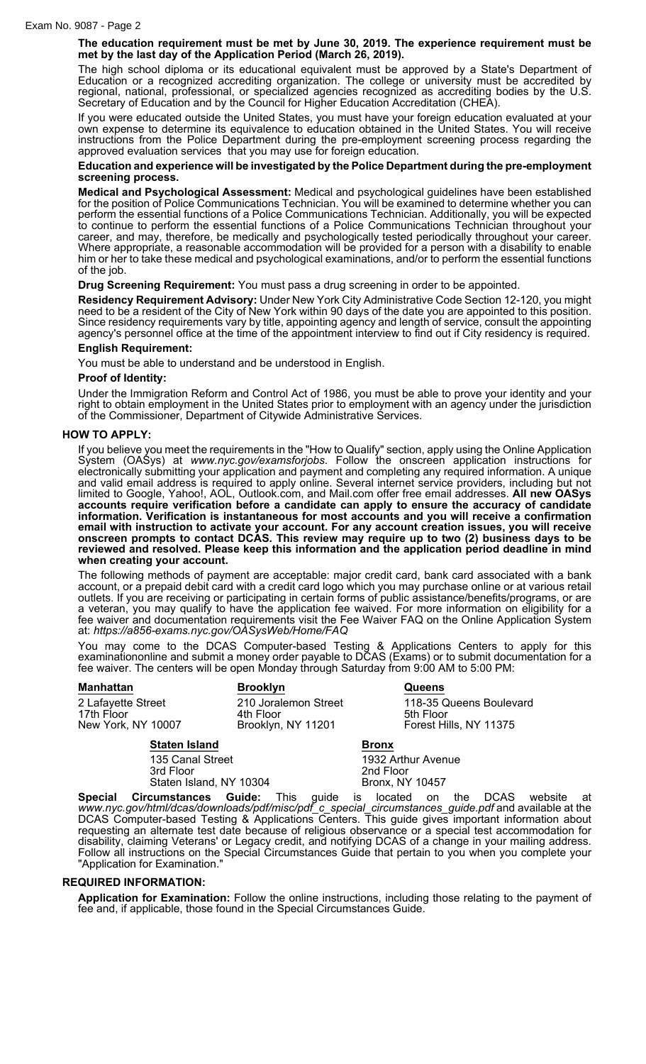**The education requirement must be met by June 30, 2019. The experience requirement must be met by the last day of the Application Period (March 26, 2019).**

The high school diploma or its educational equivalent must be approved by a State's Department of Education or a recognized accrediting organization. The college or university must be accredited by regional, national, professional, or specialized agencies recognized as accrediting bodies by the U.S. Secretary of Education and by the Council for Higher Education Accreditation (CHEA).

If you were educated outside the United States, you must have your foreign education evaluated at your own expense to determine its equivalence to education obtained in the United States. You will receive instructions from the Police Department during the pre-employment screening process regarding the approved evaluation services that you may use for foreign education.

#### **Education and experience will be investigated by the Police Department during the pre-employment screening process.**

**Medical and Psychological Assessment:** Medical and psychological guidelines have been established for the position of Police Communications Technician. You will be examined to determine whether you can perform the essential functions of a Police Communications Technician. Additionally, you will be expected to continue to perform the essential functions of a Police Communications Technician throughout your career, and may, therefore, be medically and psychologically tested periodically throughout your career. Where appropriate, a reasonable accommodation will be provided for a person with a disability to enable him or her to take these medical and psychological examinations, and/or to perform the essential functions of the job.

**Drug Screening Requirement:** You must pass a drug screening in order to be appointed.

**Residency Requirement Advisory:** Under New York City Administrative Code Section 12-120, you might need to be a resident of the City of New York within 90 days of the date you are appointed to this position. Since residency requirements vary by title, appointing agency and length of service, consult the appointing agency's personnel office at the time of the appointment interview to find out if City residency is required.

## **English Requirement:**

You must be able to understand and be understood in English.

## **Proof of Identity:**

Under the Immigration Reform and Control Act of 1986, you must be able to prove your identity and your right to obtain employment in the United States prior to employment with an agency under the jurisdiction of the Commissioner, Department of Citywide Administrative Services.

## **HOW TO APPLY:**

If you believe you meet the requirements in the "How to Qualify" section, apply using the Online Application System (OASys) at *www.nyc.gov/examsforjobs*. Follow the onscreen application instructions for electronically submitting your application and payment and completing any required information. A unique and valid email address is required to apply online. Several internet service providers, including but not limited to Google, Yahoo!, AOL, Outlook.com, and Mail.com offer free email addresses. **All new OASys accounts require verification before a candidate can apply to ensure the accuracy of candidate information. Verification is instantaneous for most accounts and you will receive a confirmation email with instruction to activate your account. For any account creation issues, you will receive onscreen prompts to contact DCAS. This review may require up to two (2) business days to be reviewed and resolved. Please keep this information and the application period deadline in mind when creating your account.**

The following methods of payment are acceptable: major credit card, bank card associated with a bank account, or a prepaid debit card with a credit card logo which you may purchase online or at various retail outlets. If you are receiving or participating in certain forms of public assistance/benefits/programs, or are a veteran, you may qualify to have the application fee waived. For more information on eligibility for a fee waiver and documentation requirements visit the Fee Waiver FAQ on the Online Application System at: *https://a856-exams.nyc.gov/OASysWeb/Home/FAQ*

You may come to the DCAS Computer-based Testing & Applications Centers to apply for this examinationonline and submit a money order payable to DCAS (Exams) or to submit documentation for a fee waiver. The centers will be open Monday through Saturday from 9:00 AM to 5:00 PM:

| <b>Manhattan</b>                                       |                               | <b>Brooklyn</b>                                         |              | <b>Queens</b>                                                  |
|--------------------------------------------------------|-------------------------------|---------------------------------------------------------|--------------|----------------------------------------------------------------|
| 2 Lafayette Street<br>17th Floor<br>New York, NY 10007 |                               | 210 Joralemon Street<br>4th Floor<br>Brooklyn, NY 11201 |              | 118-35 Queens Boulevard<br>5th Floor<br>Forest Hills, NY 11375 |
|                                                        | <b>Staten Island</b>          |                                                         | <b>Bronx</b> |                                                                |
|                                                        | 135 Canal Street<br>3rd Floor |                                                         | 2nd Floor    | 1932 Arthur Avenue                                             |

Staten Island, NY 10304 Bronx, NY 10457

**Special Circumstances Guide:** This guide is located on the DCAS website at *www.nyc.gov/html/dcas/downloads/pdf/misc/pdf\_c\_special\_circumstances\_guide.pdf* and available at the DCAS Computer-based Testing & Applications Centers. This guide gives important information about requesting an alternate test date because of religious observance or a special test accommodation for disability, claiming Veterans' or Legacy credit, and notifying DCAS of a change in your mailing address. Follow all instructions on the Special Circumstances Guide that pertain to you when you complete your "Application for Examination."

## **REQUIRED INFORMATION:**

**Application for Examination:** Follow the online instructions, including those relating to the payment of fee and, if applicable, those found in the Special Circumstances Guide.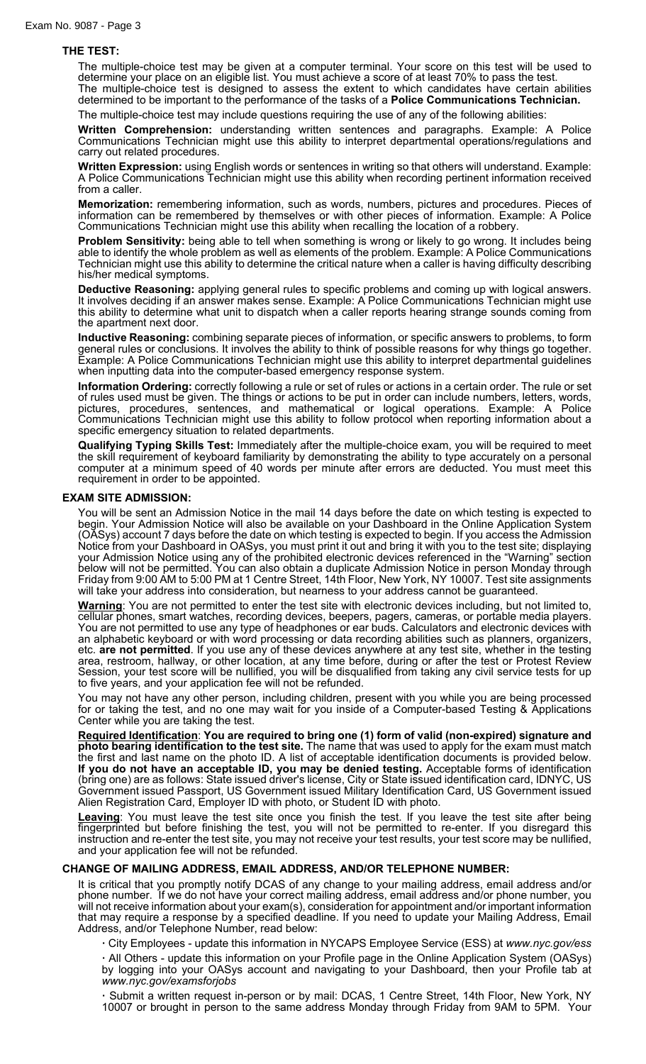#### **THE TEST:**

The multiple-choice test may be given at a computer terminal. Your score on this test will be used to determine your place on an eligible list. You must achieve a score of at least 70% to pass the test. The multiple-choice test is designed to assess the extent to which candidates have certain abilities

determined to be important to the performance of the tasks of a **Police Communications Technician.** The multiple-choice test may include questions requiring the use of any of the following abilities:

**Written Comprehension:** understanding written sentences and paragraphs. Example: A Police Communications Technician might use this ability to interpret departmental operations/regulations and carry out related procedures.

**Written Expression:** using English words or sentences in writing so that others will understand. Example: A Police Communications Technician might use this ability when recording pertinent information received from a caller.

**Memorization:** remembering information, such as words, numbers, pictures and procedures. Pieces of information can be remembered by themselves or with other pieces of information. Example: A Police Communications Technician might use this ability when recalling the location of a robbery.

**Problem Sensitivity:** being able to tell when something is wrong or likely to go wrong. It includes being able to identify the whole problem as well as elements of the problem. Example: A Police Communications Technician might use this ability to determine the critical nature when a caller is having difficulty describing his/her medical symptoms.

**Deductive Reasoning:** applying general rules to specific problems and coming up with logical answers. It involves deciding if an answer makes sense. Example: A Police Communications Technician might use this ability to determine what unit to dispatch when a caller reports hearing strange sounds coming from the apartment next door.

**Inductive Reasoning:** combining separate pieces of information, or specific answers to problems, to form general rules or conclusions. It involves the ability to think of possible reasons for why things go together. Example: A Police Communications Technician might use this ability to interpret departmental guidelines when inputting data into the computer-based emergency response system.

**Information Ordering:** correctly following a rule or set of rules or actions in a certain order. The rule or set of rules used must be given. The things or actions to be put in order can include numbers, letters, words, pictures, procedures, sentences, and mathematical or logical operations. Example: A Police Communications Technician might use this ability to follow protocol when reporting information about a specific emergency situation to related departments.

**Qualifying Typing Skills Test:** Immediately after the multiple-choice exam, you will be required to meet the skill requirement of keyboard familiarity by demonstrating the ability to type accurately on a personal computer at a minimum speed of 40 words per minute after errors are deducted. You must meet this requirement in order to be appointed.

#### **EXAM SITE ADMISSION:**

You will be sent an Admission Notice in the mail 14 days before the date on which testing is expected to begin. Your Admission Notice will also be available on your Dashboard in the Online Application System (OASys) account 7 days before the date on which testing is expected to begin. If you access the Admission Notice from your Dashboard in OASys, you must print it out and bring it with you to the test site; displaying your Admission Notice using any of the prohibited electronic devices referenced in the "Warning" section below will not be permitted. You can also obtain a duplicate Admission Notice in person Monday through Friday from 9:00 AM to 5:00 PM at 1 Centre Street, 14th Floor, New York, NY 10007. Test site assignments will take your address into consideration, but nearness to your address cannot be guaranteed.

**Warning**: You are not permitted to enter the test site with electronic devices including, but not limited to, cellular phones, smart watches, recording devices, beepers, pagers, cameras, or portable media players. You are not permitted to use any type of headphones or ear buds. Calculators and electronic devices with an alphabetic keyboard or with word processing or data recording abilities such as planners, organizers, etc. **are not permitted**. If you use any of these devices anywhere at any test site, whether in the testing area, restroom, hallway, or other location, at any time before, during or after the test or Protest Review Session, your test score will be nullified, you will be disqualified from taking any civil service tests for up to five years, and your application fee will not be refunded.

You may not have any other person, including children, present with you while you are being processed for or taking the test, and no one may wait for you inside of a Computer-based Testing & Applications Center while you are taking the test.

**Required Identification**: **You are required to bring one (1) form of valid (non-expired) signature and photo bearing identification to the test site.** The name that was used to apply for the exam must match the first and last name on the photo ID. A list of acceptable identification documents is provided below. **If you do not have an acceptable ID, you may be denied testing.** Acceptable forms of identification (bring one) are as follows: State issued driver's license, City or State issued identification card, IDNYC, US Government issued Passport, US Government issued Military Identification Card, US Government issued Alien Registration Card, Employer ID with photo, or Student ID with photo.

**Leaving**: You must leave the test site once you finish the test. If you leave the test site after being fingerprinted but before finishing the test, you will not be permitted to re-enter. If you disregard this instruction and re-enter the test site, you may not receive your test results, your test score may be nullified, and your application fee will not be refunded.

#### **CHANGE OF MAILING ADDRESS, EMAIL ADDRESS, AND/OR TELEPHONE NUMBER:**

It is critical that you promptly notify DCAS of any change to your mailing address, email address and/or phone number. If we do not have your correct mailing address, email address and/or phone number, you will not receive information about your exam(s), consideration for appointment and/or important information that may require a response by a specified deadline. If you need to update your Mailing Address, Email Address, and/or Telephone Number, read below:

**·** City Employees - update this information in NYCAPS Employee Service (ESS) at *www.nyc.gov/ess*

**·** All Others - update this information on your Profile page in the Online Application System (OASys) by logging into your OASys account and navigating to your Dashboard, then your Profile tab at *www.nyc.gov/examsforjobs*

**·** Submit a written request in-person or by mail: DCAS, 1 Centre Street, 14th Floor, New York, NY 10007 or brought in person to the same address Monday through Friday from 9AM to 5PM. Your